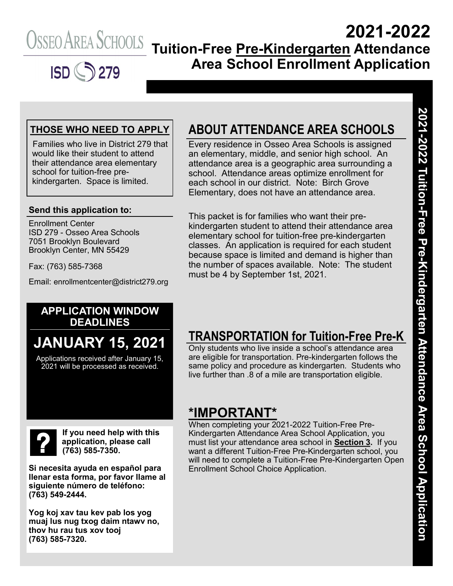

## **2021-2022 Tuition-Free Pre-Kindergarten Attendance Area School Enrollment Application**

#### **THOSE WHO NEED TO APPLY**

Families who live in District 279 that would like their student to attend their attendance area elementary school for tuition-free prekindergarten. Space is limited.

#### **Send this application to:**

Enrollment Center ISD 279 - Osseo Area Schools 7051 Brooklyn Boulevard Brooklyn Center, MN 55429

Fax: (763) 585-7368

Email: enrollmentcenter@district279.org

## **ABOUT ATTENDANCE AREA SCHOOLS**

Every residence in Osseo Area Schools is assigned an elementary, middle, and senior high school. An attendance area is a geographic area surrounding a school. Attendance areas optimize enrollment for each school in our district. Note: Birch Grove Elementary, does not have an attendance area.

This packet is for families who want their prekindergarten student to attend their attendance area elementary school for tuition-free pre-kindergarten classes. An application is required for each student because space is limited and demand is higher than the number of spaces available. Note: The student must be 4 by September 1st, 2021.

#### **APPLICATION WINDOW DEADLINES**

# **JANUARY 15, 2021**

Applications received after January 15, 2021 will be processed as received.

**If you need help with this application, please call (763) 585-7350.**

**Si necesita ayuda en español para llenar esta forma, por favor llame al siguiente número de teléfono: (763) 549-2444.**

**Yog koj xav tau kev pab los yog muaj lus nug txog daim ntawv no, thov hu rau tus xov tooj (763) 585-7320.**

## **TRANSPORTATION for Tuition-Free Pre-K**

Only students who live inside a school's attendance area are eligible for transportation. Pre-kindergarten follows the same policy and procedure as kindergarten. Students who live further than .8 of a mile are transportation eligible.

### **\*IMPORTANT\***

When completing your 2021-2022 Tuition-Free Pre-Kindergarten Attendance Area School Application, you must list your attendance area school in **Section 3.** If you want a different Tuition-Free Pre-Kindergarten school, you will need to complete a Tuition-Free Pre-Kindergarten Open Enrollment School Choice Application.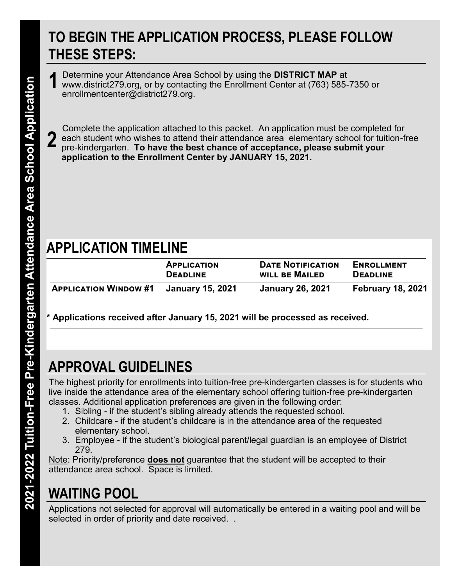## **TO BEGIN THE APPLICATION PROCESS, PLEASE FOLLOW THESE STEPS:**

Determine your Attendance Area School by using the **DISTRICT MAP** at www.district279.org, or by contacting the Enrollment Center at (763) 585-7350 or enrollmentcenter@district279.org. **1**

Complete the application attached to this packet. An application must be completed for each student who wishes to attend their attendance area elementary school for tuition-free pre-kindergarten. **To have the best chance of acceptance, please submit your application to the Enrollment Center by JANUARY 15, 2021. 2**

## **APPLICATION TIMELINE**

|                                               | <b>APPLICATION</b> | <b>DATE NOTIFICATION</b> | <b>ENROLLMENT</b>        |
|-----------------------------------------------|--------------------|--------------------------|--------------------------|
|                                               | <b>DEADLINE</b>    | WILL BE MAILED           | <b>DEADLINE</b>          |
| <b>APPLICATION WINDOW #1 January 15, 2021</b> |                    | <b>January 26, 2021</b>  | <b>February 18, 2021</b> |

**\* Applications received after January 15, 2021 will be processed as received.**

# **APPROVAL GUIDELINES**

The highest priority for enrollments into tuition-free pre-kindergarten classes is for students who live inside the attendance area of the elementary school offering tuition-free pre-kindergarten classes. Additional application preferences are given in the following order:

- 1. Sibling if the student's sibling already attends the requested school.
- 2. Childcare if the student's childcare is in the attendance area of the requested elementary school.
- 3. Employee if the student's biological parent/legal guardian is an employee of District 279.

Note: Priority/preference **does not** guarantee that the student will be accepted to their attendance area school. Space is limited.

# **WAITING POOL**

Applications not selected for approval will automatically be entered in a waiting pool and will be selected in order of priority and date received. .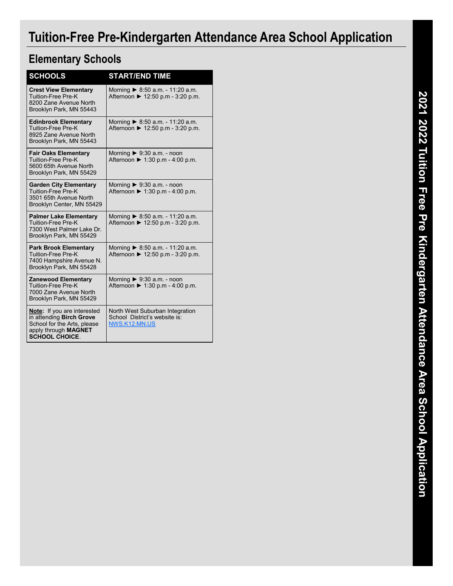## **Tuition-Free Pre-Kindergarten Attendance Area School Application**

## **Elementary Schools**

| <b>SCHOOLS</b>                                                                                                                                 | <b>START/END TIME</b>                                                                |
|------------------------------------------------------------------------------------------------------------------------------------------------|--------------------------------------------------------------------------------------|
| <b>Crest View Elementary</b><br><b>Tuition-Free Pre-K</b><br>8200 Zane Avenue North<br>Brooklyn Park, MN 55443                                 | Morning $\triangleright$ 8:50 a.m. - 11:20 a.m.<br>Afternoon ▶ 12:50 p.m - 3:20 p.m. |
| <b>Edinbrook Elementary</b><br>Tuition-Free Pre-K<br>8925 Zane Avenue North<br>Brooklyn Park, MN 55443                                         | Morning > 8:50 a.m. - 11:20 a.m.<br>Afternoon ▶ 12:50 p.m - 3:20 p.m.                |
| <b>Fair Oaks Elementary</b><br><b>Tuition-Free Pre-K</b><br>5600 65th Avenue North<br>Brooklyn Park, MN 55429                                  | Morning $\triangleright$ 9:30 a.m. - noon<br>Afternoon ▶ 1:30 p.m - 4:00 p.m.        |
| <b>Garden City Elementary</b><br>Tuition-Free Pre-K<br>3501 65th Avenue North<br>Brooklyn Center, MN 55429                                     | Morning $\triangleright$ 9:30 a.m. - noon<br>Afternoon ▶ 1:30 p.m - 4:00 p.m.        |
| <b>Palmer Lake Elementary</b><br><b>Tuition-Free Pre-K</b><br>7300 West Palmer Lake Dr.<br>Brooklyn Park, MN 55429                             | Morning $\triangleright$ 8:50 a.m. - 11:20 a.m.<br>Afternoon ▶ 12:50 p.m - 3:20 p.m. |
| <b>Park Brook Elementary</b><br><b>Tuition-Free Pre-K</b><br>7400 Hampshire Avenue N.<br>Brooklyn Park, MN 55428                               | Morning $\triangleright$ 8:50 a.m. - 11:20 a.m.<br>Afternoon ▶ 12:50 p.m - 3:20 p.m. |
| <b>Zanewood Elementary</b><br>Tuition-Free Pre-K<br>7000 Zane Avenue North<br>Brooklyn Park, MN 55429                                          | Morning $\triangleright$ 9:30 a.m. - noon<br>Afternoon ▶ 1:30 p.m - 4:00 p.m.        |
| <b>Note:</b> If you are interested<br>in attending Birch Grove<br>School for the Arts, please<br>apply through MAGNET<br><b>SCHOOL CHOICE.</b> | North West Suburban Integration<br>School District's website is:<br>NWS.K12.MN.US    |